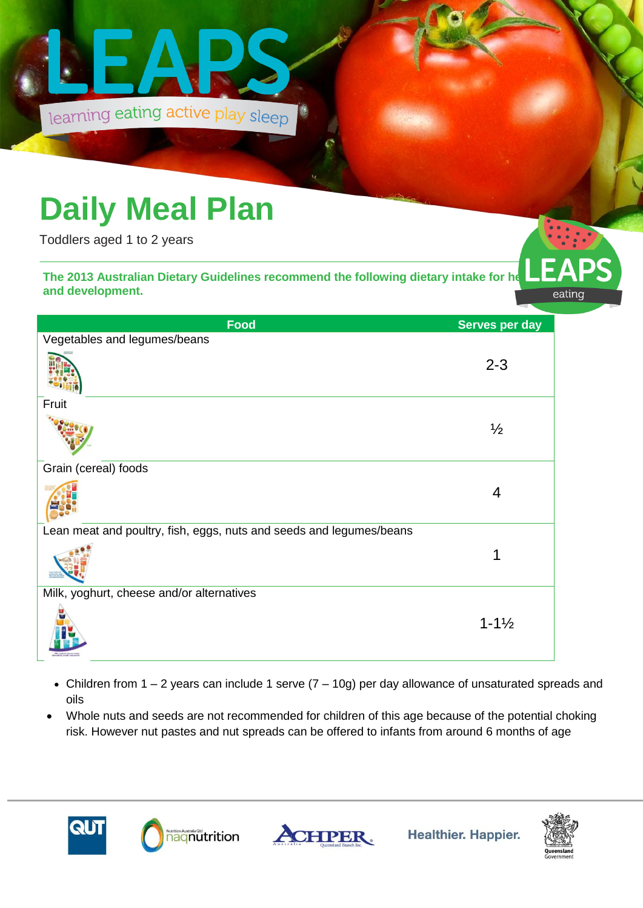

## **Daily Meal Plan**

Toddlers aged 1 to 2 years

The 2013 Australian Dietary Guidelines recommend the following dietary intake for he **and development.** 

| Food                                                                | Serves per day     |
|---------------------------------------------------------------------|--------------------|
| Vegetables and legumes/beans                                        |                    |
|                                                                     | $2 - 3$            |
| Fruit                                                               |                    |
|                                                                     | $\frac{1}{2}$      |
| Grain (cereal) foods                                                |                    |
|                                                                     | 4                  |
| Lean meat and poultry, fish, eggs, nuts and seeds and legumes/beans |                    |
|                                                                     |                    |
| Milk, yoghurt, cheese and/or alternatives                           |                    |
|                                                                     | $1 - 1\frac{1}{2}$ |

- Children from  $1 2$  years can include 1 serve  $(7 10g)$  per day allowance of unsaturated spreads and oils
- Whole nuts and seeds are not recommended for children of this age because of the potential choking risk. However nut pastes and nut spreads can be offered to infants from around 6 months of age









eating